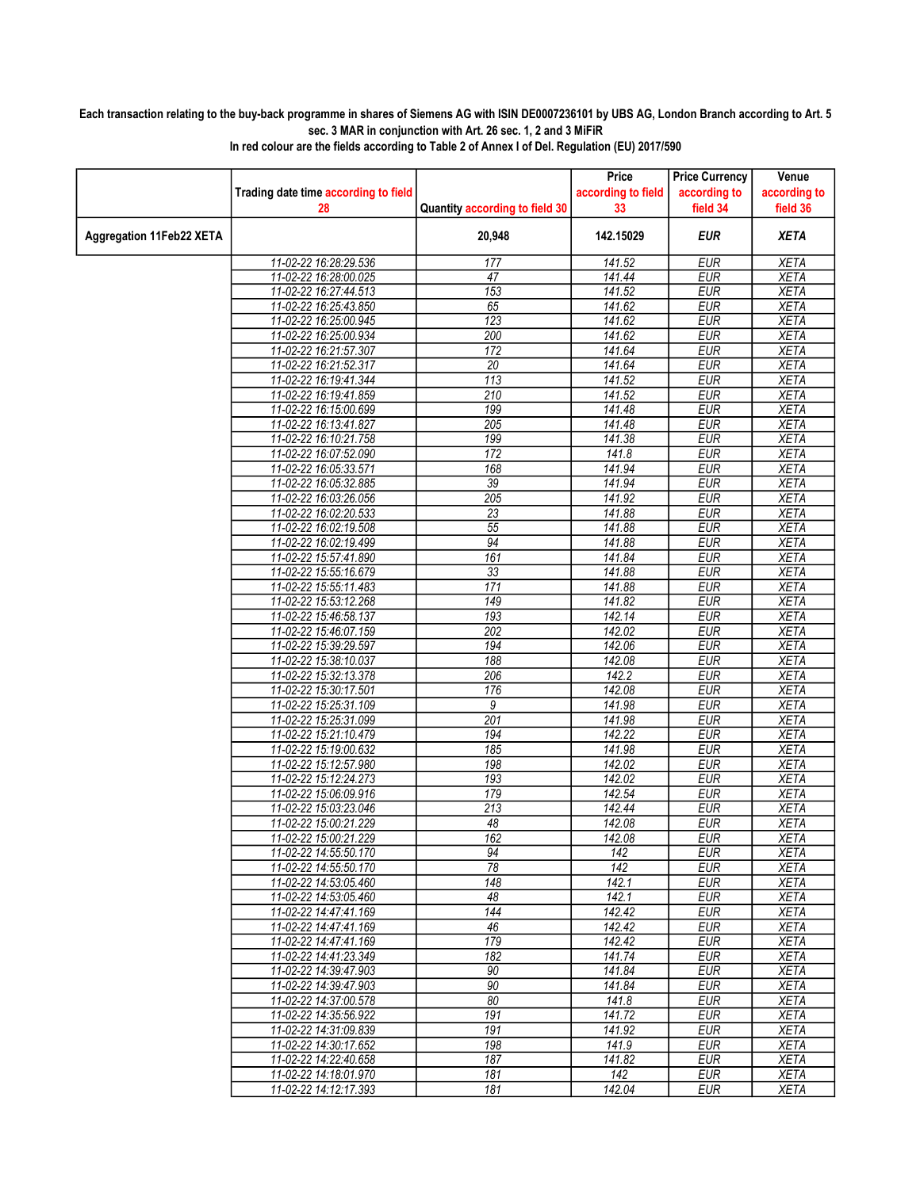## Each transaction relating to the buy-back programme in shares of Siemens AG with ISIN DE0007236101 by UBS AG, London Branch according to Art. 5 sec. 3 MAR in conjunction with Art. 26 sec. 1, 2 and 3 MiFiR

|                                 |                                                |                                | Price              | <b>Price Currency</b>    | Venue                      |
|---------------------------------|------------------------------------------------|--------------------------------|--------------------|--------------------------|----------------------------|
|                                 | Trading date time according to field           |                                | according to field | according to             | according to               |
|                                 | 28                                             | Quantity according to field 30 | 33                 | field 34                 | field 36                   |
| <b>Aggregation 11Feb22 XETA</b> |                                                | 20,948                         | 142.15029          | <b>EUR</b>               | <b>XETA</b>                |
|                                 |                                                | 177                            |                    |                          |                            |
|                                 | 11-02-22 16:28:29.536<br>11-02-22 16:28:00.025 | 47                             | 141.52<br>141.44   | <b>EUR</b><br><b>EUR</b> | <b>XETA</b><br><b>XETA</b> |
|                                 | 11-02-22 16:27:44.513                          | 153                            | 141.52             | <b>EUR</b>               | <b>XETA</b>                |
|                                 | 11-02-22 16:25:43.850                          | 65                             | 141.62             | <b>EUR</b>               | <b>XETA</b>                |
|                                 |                                                |                                |                    | <b>EUR</b>               |                            |
|                                 | 11-02-22 16:25:00.945<br>11-02-22 16:25:00.934 | 123<br>200                     | 141.62<br>141.62   | <b>EUR</b>               | <b>XETA</b><br><b>XETA</b> |
|                                 | 11-02-22 16:21:57.307                          | 172                            | 141.64             | <b>EUR</b>               | <b>XETA</b>                |
|                                 | 11-02-22 16:21:52.317                          | $\overline{20}$                | 141.64             | <b>EUR</b>               | <b>XETA</b>                |
|                                 | 11-02-22 16:19:41.344                          | 113                            | 141.52             | <b>EUR</b>               | <b>XETA</b>                |
|                                 | 11-02-22 16:19:41.859                          | 210                            | 141.52             | <b>EUR</b>               | <b>XETA</b>                |
|                                 | 11-02-22 16:15:00.699                          | 199                            | 141.48             | <b>EUR</b>               | <b>XETA</b>                |
|                                 | 11-02-22 16:13:41.827                          | 205                            | 141.48             | <b>EUR</b>               | <b>XETA</b>                |
|                                 |                                                |                                | 141.38             | <b>EUR</b>               | <b>XETA</b>                |
|                                 | 11-02-22 16:10:21.758                          | 199                            |                    |                          |                            |
|                                 | 11-02-22 16:07:52.090                          | 172                            | 141.8<br>141.94    | <b>EUR</b>               | <b>XETA</b>                |
|                                 | 11-02-22 16:05:33.571<br>11-02-22 16:05:32.885 | 168                            |                    | <b>EUR</b>               | <b>XETA</b>                |
|                                 | 11-02-22 16:03:26.056                          | 39<br>205                      | 141.94<br>141.92   | <b>EUR</b><br><b>EUR</b> | <b>XETA</b>                |
|                                 |                                                |                                |                    |                          | <b>XETA</b>                |
|                                 | 11-02-22 16:02:20.533                          | $\overline{23}$                | 141.88             | <b>EUR</b>               | <b>XETA</b>                |
|                                 | 11-02-22 16:02:19.508                          | 55                             | 141.88             | <b>EUR</b>               | <b>XETA</b>                |
|                                 | 11-02-22 16:02:19.499                          | $\overline{94}$                | 141.88             | EUR                      | <b>XETA</b>                |
|                                 | 11-02-22 15:57:41.890                          | 161                            | 141.84             | <b>EUR</b>               | <b>XETA</b>                |
|                                 | 11-02-22 15:55:16.679                          | 33                             | 141.88             | <b>EUR</b>               | <b>XETA</b>                |
|                                 | 11-02-22 15:55:11.483                          | 171                            | 141.88             | <b>EUR</b>               | <b>XETA</b>                |
|                                 | 11-02-22 15:53:12.268                          | 149                            | 141.82             | <b>EUR</b>               | <b>XETA</b>                |
|                                 | 11-02-22 15:46:58.137                          | 193                            | 142.14             | <b>EUR</b>               | <b>XETA</b>                |
|                                 | 11-02-22 15:46:07.159                          | 202                            | 142.02             | <b>EUR</b>               | <b>XETA</b>                |
|                                 | 11-02-22 15:39:29.597                          | 194                            | 142.06             | <b>EUR</b>               | <b>XETA</b>                |
|                                 | 11-02-22 15:38:10.037                          | 188                            | 142.08             | <b>EUR</b>               | <b>XETA</b>                |
|                                 | 11-02-22 15:32:13.378                          | 206                            | 142.2              | <b>EUR</b>               | <b>XETA</b>                |
|                                 | 11-02-22 15:30:17.501                          | 176                            | 142.08             | <b>EUR</b>               | <b>XETA</b>                |
|                                 | 11-02-22 15:25:31.109                          | 9                              | 141.98             | <b>EUR</b>               | <b>XETA</b>                |
|                                 | 11-02-22 15:25:31.099                          | 201                            | 141.98             | <b>EUR</b>               | <b>XETA</b>                |
|                                 | 11-02-22 15:21:10.479                          | 194                            | 142.22             | <b>EUR</b>               | <b>XETA</b>                |
|                                 | 11-02-22 15:19:00.632                          | 185                            | 141.98             | <b>EUR</b>               | <b>XETA</b>                |
|                                 | 11-02-22 15:12:57.980                          | 198                            | 142.02             | <b>EUR</b>               | <b>XETA</b>                |
|                                 | 11-02-22 15:12:24.273                          | 193                            | 142.02             | <b>EUR</b>               | <b>XETA</b>                |
|                                 | 11-02-22 15:06:09.916                          | 179                            | 142.54             | <b>EUR</b>               | <b>XETA</b>                |
|                                 | 11-02-22 15:03:23.046                          | 213                            | 142.44             | <b>EUR</b>               | <b>XETA</b>                |
|                                 | 11-02-22 15:00:21.229                          | 48                             | 142.08             | <b>EUR</b>               | <b>XETA</b>                |
|                                 | 11-02-22 15:00:21.229                          | 162                            | 142.08             | <b>EUR</b>               | <b>XETA</b>                |
|                                 | 11-02-22 14:55:50.170                          | 94                             | 142                | EUR                      | XETA                       |
|                                 | 11-02-22 14:55:50.170                          | 78                             | 142                | <b>EUR</b>               | <b>XETA</b>                |
|                                 | 11-02-22 14:53:05.460                          | 148                            | 142.1              | <b>EUR</b>               | <b>XETA</b>                |
|                                 | 11-02-22 14:53:05.460                          | 48                             | 142.1              | <b>EUR</b>               | <b>XETA</b>                |
|                                 | 11-02-22 14:47:41.169                          | 144                            | 142.42             | <b>EUR</b>               | <b>XETA</b>                |
|                                 | 11-02-22 14:47:41.169                          | 46                             | 142.42             | <b>EUR</b>               | <b>XETA</b>                |
|                                 | 11-02-22 14:47:41.169                          | 179                            | 142.42             | <b>EUR</b>               | <b>XETA</b>                |
|                                 | 11-02-22 14:41:23.349                          | 182                            | 141.74             | <b>EUR</b>               | <b>XETA</b>                |
|                                 | 11-02-22 14:39:47.903                          | 90                             | 141.84             | <b>EUR</b>               | <b>XETA</b>                |
|                                 | 11-02-22 14:39:47.903                          | 90                             | 141.84             | <b>EUR</b>               | <b>XETA</b>                |
|                                 | 11-02-22 14:37:00.578                          | 80                             | 141.8              | <b>EUR</b>               | <b>XETA</b>                |
|                                 | 11-02-22 14:35:56.922                          | 191                            | 141.72             | <b>EUR</b>               | <b>XETA</b>                |
|                                 | 11-02-22 14:31:09.839                          | 191                            | 141.92             | <b>EUR</b>               | <b>XETA</b>                |
|                                 | 11-02-22 14:30:17.652                          | 198                            | 141.9              | <b>EUR</b>               | <b>XETA</b>                |
|                                 | 11-02-22 14:22:40.658                          | 187                            | 141.82             | <b>EUR</b>               | <b>XETA</b>                |
|                                 | 11-02-22 14:18:01.970                          | 181                            | 142                | <b>EUR</b>               | <b>XETA</b>                |
|                                 | 11-02-22 14:12:17.393                          | 181                            | 142.04             | <b>EUR</b>               | <b>XETA</b>                |

In red colour are the fields according to Table 2 of Annex I of Del. Regulation (EU) 2017/590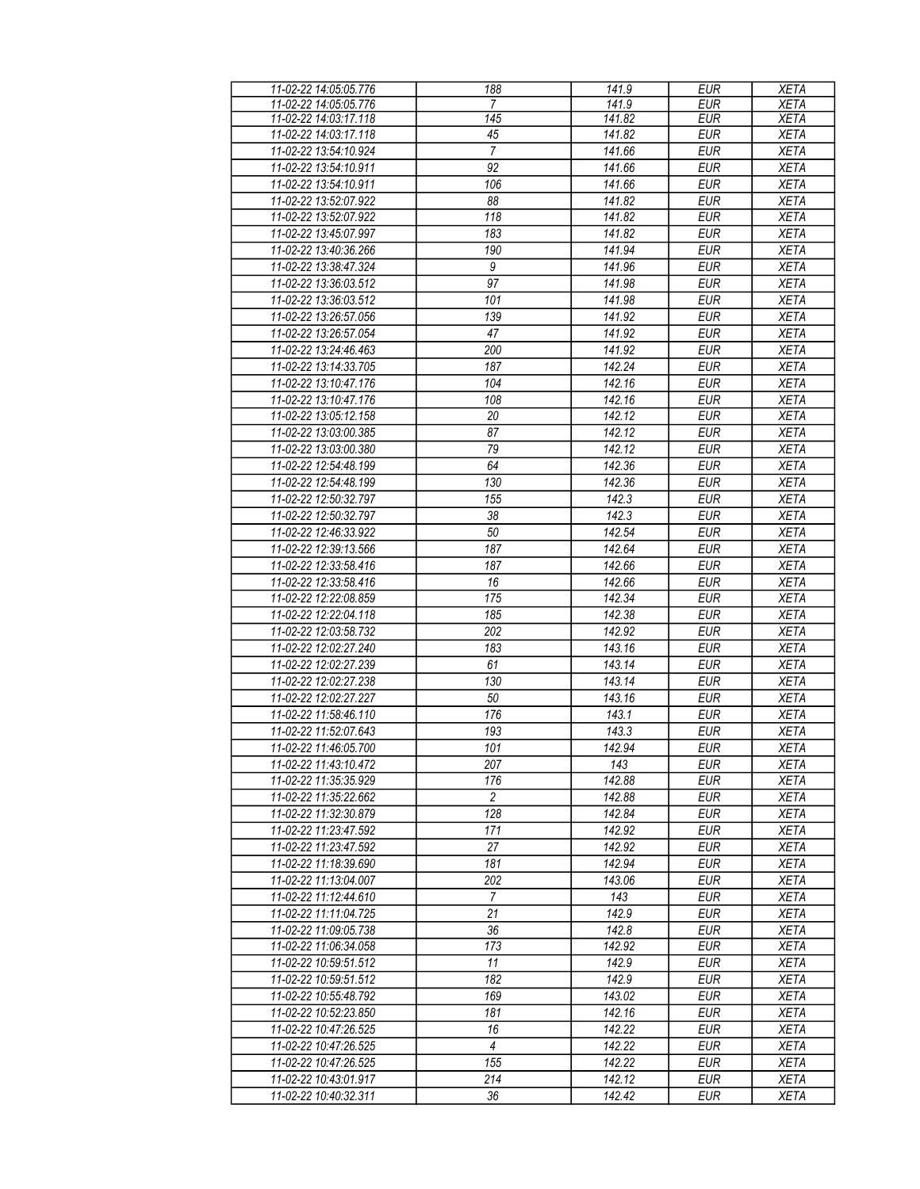| 11-02-22 14:05:05.776 | 188              | 141.9  | <b>EUR</b> | <b>XETA</b> |
|-----------------------|------------------|--------|------------|-------------|
| 11-02-22 14:05:05.776 | 7                | 141.9  | EUR        | <b>XETA</b> |
| 11-02-22 14:03:17.118 | 145              | 141.82 | <b>EUR</b> | <b>XETA</b> |
| 11-02-22 14:03:17.118 | 45               | 141.82 | <b>EUR</b> | <b>XETA</b> |
| 11-02-22 13:54:10.924 | $\overline{7}$   | 141.66 | <b>EUR</b> | <b>XETA</b> |
| 11-02-22 13:54:10.911 | 92               | 141.66 | <b>EUR</b> | <b>XETA</b> |
|                       |                  |        |            |             |
| 11-02-22 13:54:10.911 | 106              | 141.66 | <b>EUR</b> | <b>XETA</b> |
| 11-02-22 13:52:07.922 | 88               | 141.82 | <b>EUR</b> | <b>XETA</b> |
| 11-02-22 13:52:07.922 | 118              | 141.82 | <b>EUR</b> | <b>XETA</b> |
| 11-02-22 13:45:07.997 | 183              | 141.82 | <b>EUR</b> | <b>XETA</b> |
| 11-02-22 13:40:36.266 | 190              | 141.94 | <b>EUR</b> | <b>XETA</b> |
| 11-02-22 13:38:47.324 | $\boldsymbol{9}$ | 141.96 | <b>EUR</b> | <b>XETA</b> |
| 11-02-22 13:36:03.512 | 97               | 141.98 | <b>EUR</b> | <b>XETA</b> |
| 11-02-22 13:36:03.512 | 101              | 141.98 | <b>EUR</b> | <b>XETA</b> |
|                       |                  |        |            |             |
| 11-02-22 13:26:57.056 | 139              | 141.92 | <b>EUR</b> | <b>XETA</b> |
| 11-02-22 13:26:57.054 | 47               | 141.92 | <b>EUR</b> | <b>XETA</b> |
| 11-02-22 13:24:46.463 | 200              | 141.92 | <b>EUR</b> | <b>XETA</b> |
| 11-02-22 13:14:33.705 | 187              | 142.24 | <b>EUR</b> | <b>XETA</b> |
| 11-02-22 13:10:47.176 | 104              | 142.16 | <b>EUR</b> | <b>XETA</b> |
| 11-02-22 13:10:47.176 | 108              | 142.16 | <b>EUR</b> | <b>XETA</b> |
| 11-02-22 13:05:12.158 | 20               | 142.12 | <b>EUR</b> |             |
|                       |                  |        |            | <b>XETA</b> |
| 11-02-22 13:03:00.385 | 87               | 142.12 | <b>EUR</b> | <b>XETA</b> |
| 11-02-22 13:03:00.380 | 79               | 142.12 | <b>EUR</b> | <b>XETA</b> |
| 11-02-22 12:54:48.199 | 64               | 142.36 | <b>EUR</b> | <b>XETA</b> |
| 11-02-22 12:54:48.199 | 130              | 142.36 | <b>EUR</b> | <b>XETA</b> |
| 11-02-22 12:50:32.797 | 155              | 142.3  | <b>EUR</b> | <b>XETA</b> |
| 11-02-22 12:50:32.797 | 38               | 142.3  | <b>EUR</b> | <b>XETA</b> |
| 11-02-22 12:46:33.922 | 50               | 142.54 | <b>EUR</b> | <b>XETA</b> |
| 11-02-22 12:39:13.566 | 187              | 142.64 | <b>EUR</b> | <b>XETA</b> |
|                       | 187              |        | <b>EUR</b> |             |
| 11-02-22 12:33:58.416 |                  | 142.66 |            | <b>XETA</b> |
| 11-02-22 12:33:58.416 | 16               | 142.66 | <b>EUR</b> | <b>XETA</b> |
| 11-02-22 12:22:08.859 | 175              | 142.34 | <b>EUR</b> | <b>XETA</b> |
| 11-02-22 12:22:04.118 | 185              | 142.38 | <b>EUR</b> | <b>XETA</b> |
| 11-02-22 12:03:58.732 | 202              | 142.92 | <b>EUR</b> | <b>XETA</b> |
| 11-02-22 12:02:27.240 | 183              | 143.16 | <b>EUR</b> | <b>XETA</b> |
| 11-02-22 12:02:27.239 | 61               | 143.14 | <b>EUR</b> | <b>XETA</b> |
| 11-02-22 12:02:27.238 | 130              | 143.14 | <b>EUR</b> | <b>XETA</b> |
| 11-02-22 12:02:27.227 | 50               | 143.16 | <b>EUR</b> | <b>XETA</b> |
| 11-02-22 11:58:46.110 | 176              | 143.1  | <b>EUR</b> | <b>XETA</b> |
|                       |                  |        |            |             |
| 11-02-22 11:52:07.643 | 193              | 143.3  | <b>EUR</b> | <b>XETA</b> |
| 11-02-22 11:46:05.700 | 101              | 142.94 | <b>EUR</b> | <b>XETA</b> |
| 11-02-22 11:43:10.472 | 207              | 143    | <b>EUR</b> | <b>XETA</b> |
| 11-02-22 11:35:35.929 | 176              | 142.88 | EUR        | <b>XETA</b> |
| 11-02-22 11:35:22.662 | $\overline{c}$   | 142.88 | <b>EUR</b> | <b>XETA</b> |
| 11-02-22 11:32:30.879 | 128              | 142.84 | <b>EUR</b> | <b>XETA</b> |
| 11-02-22 11:23:47.592 | 171              | 142.92 | <b>EUR</b> | <b>XETA</b> |
| 11-02-22 11:23:47.592 | 27               | 142.92 | <b>EUR</b> | <b>XETA</b> |
| 11-02-22 11:18:39.690 | 181              | 142.94 | <b>EUR</b> | <b>XETA</b> |
|                       |                  |        |            |             |
| 11-02-22 11:13:04.007 | 202              | 143.06 | <b>EUR</b> | <b>XETA</b> |
| 11-02-22 11:12:44.610 | $\overline{7}$   | 143    | <b>EUR</b> | <b>XETA</b> |
| 11-02-22 11:11:04.725 | 21               | 142.9  | <b>EUR</b> | <b>XETA</b> |
| 11-02-22 11:09:05.738 | 36               | 142.8  | <b>EUR</b> | <b>XETA</b> |
| 11-02-22 11:06:34.058 | 173              | 142.92 | <b>EUR</b> | <b>XETA</b> |
| 11-02-22 10:59:51.512 | 11               | 142.9  | <b>EUR</b> | <b>XETA</b> |
| 11-02-22 10:59:51.512 | $\overline{182}$ | 142.9  | <b>EUR</b> | <b>XETA</b> |
| 11-02-22 10:55:48.792 | 169              | 143.02 | <b>EUR</b> | <b>XETA</b> |
| 11-02-22 10:52:23.850 | 181              | 142.16 | <b>EUR</b> | <b>XETA</b> |
| 11-02-22 10:47:26.525 | 16               | 142.22 | <b>EUR</b> | <b>XETA</b> |
|                       |                  |        |            |             |
| 11-02-22 10:47:26.525 | $\overline{4}$   | 142.22 | <b>EUR</b> | <b>XETA</b> |
| 11-02-22 10:47:26.525 | 155              | 142.22 | <b>EUR</b> | <b>XETA</b> |
| 11-02-22 10:43:01.917 | 214              | 142.12 | <b>EUR</b> | <b>XETA</b> |
| 11-02-22 10:40:32.311 | 36               | 142.42 | <b>EUR</b> | <b>XETA</b> |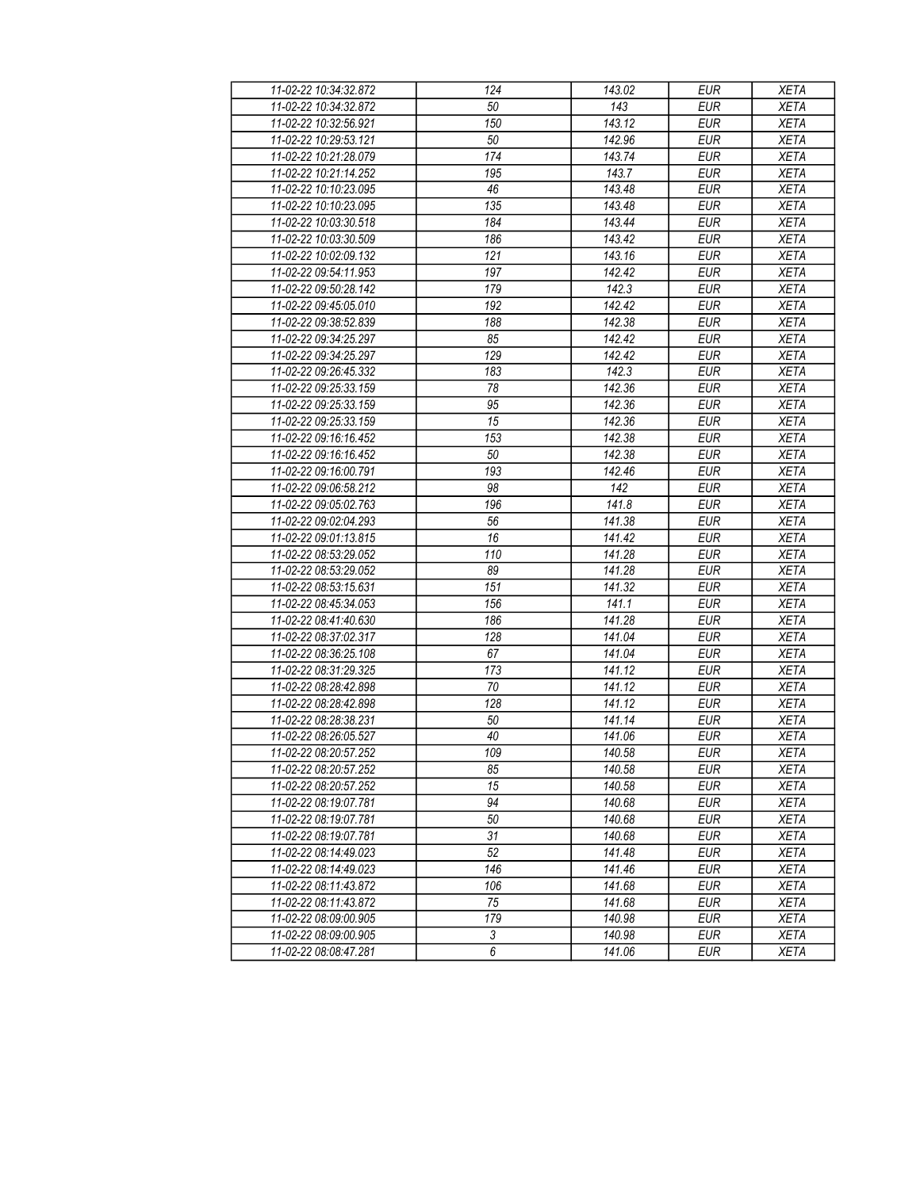| 11-02-22 10:34:32.872 | 124            | 143.02 | <b>EUR</b>       | <b>XETA</b> |
|-----------------------|----------------|--------|------------------|-------------|
| 11-02-22 10:34:32.872 | 50             | 143    | <b>EUR</b>       | <b>XETA</b> |
| 11-02-22 10:32:56.921 | 150            | 143.12 | <b>EUR</b>       | <b>XETA</b> |
| 11-02-22 10:29:53.121 | 50             | 142.96 | <b>EUR</b>       | <b>XETA</b> |
| 11-02-22 10:21:28.079 | 174            | 143.74 | <b>EUR</b>       | <b>XETA</b> |
| 11-02-22 10:21:14.252 | 195            | 143.7  | <b>EUR</b>       | <b>XETA</b> |
| 11-02-22 10:10:23.095 | 46             | 143.48 | <b>EUR</b>       | <b>XETA</b> |
| 11-02-22 10:10:23.095 | 135            | 143.48 | <b>EUR</b>       | <b>XETA</b> |
| 11-02-22 10:03:30.518 | 184            | 143.44 | <b>EUR</b>       | <b>XETA</b> |
| 11-02-22 10:03:30.509 | 186            | 143.42 | <b>EUR</b>       | <b>XETA</b> |
| 11-02-22 10:02:09.132 | 121            | 143.16 | <b>EUR</b>       | <b>XETA</b> |
| 11-02-22 09:54:11.953 | 197            | 142.42 | <b>EUR</b>       | <b>XETA</b> |
| 11-02-22 09:50:28.142 | 179            | 142.3  | <b>EUR</b>       | <b>XETA</b> |
| 11-02-22 09:45:05.010 | 192            | 142.42 | <b>EUR</b>       | <b>XETA</b> |
| 11-02-22 09:38:52.839 | 188            | 142.38 | EUR              | <b>XETA</b> |
| 11-02-22 09:34:25.297 | 85             | 142.42 | <b>EUR</b>       | <b>XETA</b> |
| 11-02-22 09:34:25.297 | 129            | 142.42 | EUR              | <b>XETA</b> |
| 11-02-22 09:26:45.332 | 183            | 142.3  | <b>EUR</b>       | <b>XETA</b> |
| 11-02-22 09:25:33.159 | 78             | 142.36 | <b>EUR</b>       | <b>XETA</b> |
| 11-02-22 09:25:33.159 | 95             | 142.36 | <b>EUR</b>       | <b>XETA</b> |
| 11-02-22 09:25:33.159 | 15             | 142.36 | <b>EUR</b>       | <b>XETA</b> |
| 11-02-22 09:16:16.452 | 153            | 142.38 | <b>EUR</b>       | <b>XETA</b> |
| 11-02-22 09:16:16.452 | 50             | 142.38 | <b>EUR</b>       | <b>XETA</b> |
| 11-02-22 09:16:00.791 | 193            | 142.46 | <b>EUR</b>       | <b>XETA</b> |
| 11-02-22 09:06:58.212 | 98             | 142    | <b>EUR</b>       | <b>XETA</b> |
| 11-02-22 09:05:02.763 | 196            | 141.8  | <b>EUR</b>       | <b>XETA</b> |
| 11-02-22 09:02:04.293 | 56             | 141.38 | <b>EUR</b>       | <b>XETA</b> |
| 11-02-22 09:01:13.815 | 16             | 141.42 | <b>EUR</b>       | <b>XETA</b> |
| 11-02-22 08:53:29.052 | 110            | 141.28 | <b>EUR</b>       | <b>XETA</b> |
| 11-02-22 08:53:29.052 | 89             | 141.28 | <b>EUR</b>       | <b>XETA</b> |
| 11-02-22 08:53:15.631 | 151            | 141.32 | <b>EUR</b>       | <b>XETA</b> |
| 11-02-22 08:45:34.053 | 156            | 141.1  | <b>EUR</b>       | <b>XETA</b> |
| 11-02-22 08:41:40.630 | 186            | 141.28 | <b>EUR</b>       | <b>XETA</b> |
| 11-02-22 08:37:02.317 | 128            | 141.04 | <b>EUR</b>       | <b>XETA</b> |
| 11-02-22 08:36:25.108 | 67             | 141.04 | <b>EUR</b>       | <b>XETA</b> |
| 11-02-22 08:31:29.325 | 173            | 141.12 | <b>EUR</b>       | <b>XETA</b> |
| 11-02-22 08:28:42.898 | 70             | 141.12 | <b>EUR</b>       | <b>XETA</b> |
| 11-02-22 08:28:42.898 | 128            | 141.12 | <b>EUR</b>       | <b>XETA</b> |
| 11-02-22 08:28:38.231 | 50             | 141.14 | <b>EUR</b>       | <b>XETA</b> |
| 11-02-22 08:26:05.527 | 40             | 141.06 | <b>EUR</b>       | <b>XETA</b> |
| 11-02-22 08:20:57.252 | 109            | 140.58 | <b>EUR</b>       | <b>XETA</b> |
| 11-02-22 08:20:57.252 | 85             | 140.58 | <b>EUR</b>       | <b>XETA</b> |
| 11-02-22 08:20:57.252 | 15             | 140.58 | <b>EUR</b>       | <b>XETA</b> |
|                       | 94             | 140.68 | <b>EUR</b>       |             |
| 11-02-22 08:19:07.781 |                |        |                  | <b>XETA</b> |
| 11-02-22 08:19:07.781 | 50             | 140.68 | $E$ UR           | <b>XETA</b> |
| 11-02-22 08:19:07.781 | 31             | 140.68 | $E$ UR           | <b>XETA</b> |
| 11-02-22 08:14:49.023 | 52             | 141.48 | <b>EUR</b>       | <b>XETA</b> |
| 11-02-22 08:14:49.023 | 146            | 141.46 | <b>EUR</b>       | <b>XETA</b> |
| 11-02-22 08:11:43.872 | 106            | 141.68 | <b>EUR</b>       | <b>XETA</b> |
| 11-02-22 08:11:43.872 | 75             | 141.68 | <b>EUR</b>       | <b>XETA</b> |
| 11-02-22 08:09:00.905 | 179            | 140.98 | $E\overline{UR}$ | <b>XETA</b> |
| 11-02-22 08:09:00.905 | $\sqrt{3}$     | 140.98 | $E$ UR           | <b>XETA</b> |
| 11-02-22 08:08:47.281 | $\overline{6}$ | 141.06 | <b>EUR</b>       | <b>XETA</b> |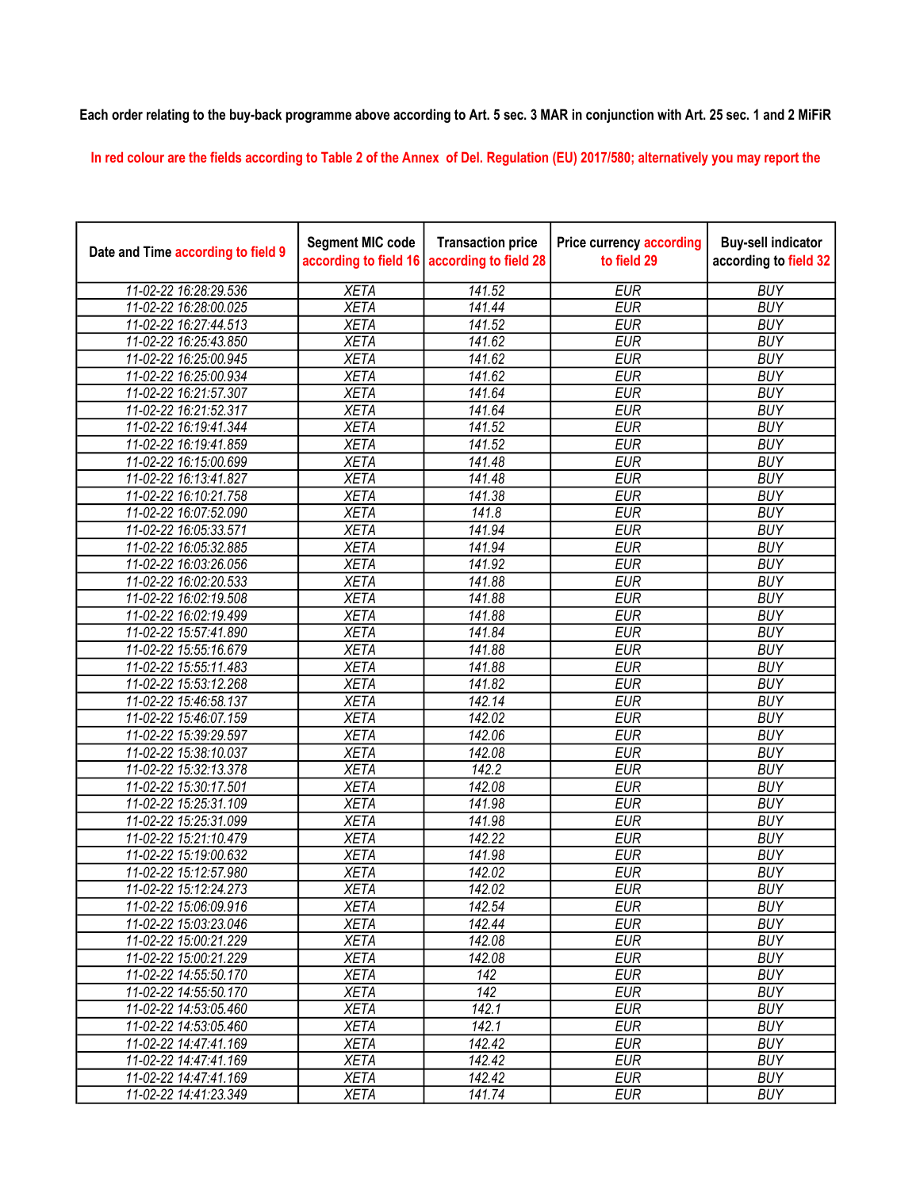## Each order relating to the buy-back programme above according to Art. 5 sec. 3 MAR in conjunction with Art. 25 sec. 1 and 2 MiFiR

In red colour are the fields according to Table 2 of the Annex of Del. Regulation (EU) 2017/580; alternatively you may report the

| Date and Time according to field 9 | <b>Segment MIC code</b><br>according to field 16 | <b>Transaction price</b><br>according to field 28 | <b>Price currency according</b><br>to field 29 | <b>Buy-sell indicator</b><br>according to field 32 |
|------------------------------------|--------------------------------------------------|---------------------------------------------------|------------------------------------------------|----------------------------------------------------|
| 11-02-22 16:28:29.536              | <b>XETA</b>                                      | 141.52                                            | <b>EUR</b>                                     | <b>BUY</b>                                         |
| 11-02-22 16:28:00.025              | <b>XETA</b>                                      | 141.44                                            | <b>EUR</b>                                     | <b>BUY</b>                                         |
| 11-02-22 16:27:44.513              | <b>XETA</b>                                      | 141.52                                            | <b>EUR</b>                                     | <b>BUY</b>                                         |
| 11-02-22 16:25:43.850              | <b>XETA</b>                                      | 141.62                                            | <b>EUR</b>                                     | <b>BUY</b>                                         |
| 11-02-22 16:25:00.945              | <b>XETA</b>                                      | 141.62                                            | <b>EUR</b>                                     | <b>BUY</b>                                         |
| 11-02-22 16:25:00.934              | <b>XETA</b>                                      | 141.62                                            | <b>EUR</b>                                     | <b>BUY</b>                                         |
| 11-02-22 16:21:57.307              | <b>XETA</b>                                      | 141.64                                            | <b>EUR</b>                                     | <b>BUY</b>                                         |
| 11-02-22 16:21:52.317              | <b>XETA</b>                                      | 141.64                                            | <b>EUR</b>                                     | <b>BUY</b>                                         |
| 11-02-22 16:19:41.344              | <b>XETA</b>                                      | 141.52                                            | <b>EUR</b>                                     | <b>BUY</b>                                         |
| 11-02-22 16:19:41.859              | <b>XETA</b>                                      | 141.52                                            | <b>EUR</b>                                     | <b>BUY</b>                                         |
| 11-02-22 16:15:00.699              | <b>XETA</b>                                      | 141.48                                            | <b>EUR</b>                                     | <b>BUY</b>                                         |
| 11-02-22 16:13:41.827              | <b>XETA</b>                                      | 141.48                                            | <b>EUR</b>                                     | <b>BUY</b>                                         |
| 11-02-22 16:10:21.758              | <b>XETA</b>                                      | 141.38                                            | <b>EUR</b>                                     | <b>BUY</b>                                         |
| 11-02-22 16:07:52.090              | <b>XETA</b>                                      | 141.8                                             | <b>EUR</b>                                     | <b>BUY</b>                                         |
| 11-02-22 16:05:33.571              | <b>XETA</b>                                      | 141.94                                            | <b>EUR</b>                                     | <b>BUY</b>                                         |
| 11-02-22 16:05:32.885              | <b>XETA</b>                                      | 141.94                                            | <b>EUR</b>                                     | <b>BUY</b>                                         |
| 11-02-22 16:03:26.056              | <b>XETA</b>                                      | 141.92                                            | <b>EUR</b>                                     | <b>BUY</b>                                         |
| 11-02-22 16:02:20.533              | <b>XETA</b>                                      | 141.88                                            | <b>EUR</b>                                     | <b>BUY</b>                                         |
| 11-02-22 16:02:19.508              | <b>XETA</b>                                      | 141.88                                            | <b>EUR</b>                                     | <b>BUY</b>                                         |
| 11-02-22 16:02:19.499              | <b>XETA</b>                                      | 141.88                                            | <b>EUR</b>                                     | <b>BUY</b>                                         |
| 11-02-22 15:57:41.890              | <b>XETA</b>                                      | 141.84                                            | <b>EUR</b>                                     | <b>BUY</b>                                         |
| 11-02-22 15:55:16.679              | <b>XETA</b>                                      | 141.88                                            | <b>EUR</b>                                     | <b>BUY</b>                                         |
| 11-02-22 15:55:11.483              | <b>XETA</b>                                      | 141.88                                            | <b>EUR</b>                                     | <b>BUY</b>                                         |
| 11-02-22 15:53:12.268              | <b>XETA</b>                                      | 141.82                                            | <b>EUR</b>                                     | <b>BUY</b>                                         |
| 11-02-22 15:46:58.137              | <b>XETA</b>                                      | 142.14                                            | <b>EUR</b>                                     | <b>BUY</b>                                         |
| 11-02-22 15:46:07.159              | <b>XETA</b>                                      | 142.02                                            | <b>EUR</b>                                     | <b>BUY</b>                                         |
| 11-02-22 15:39:29.597              | <b>XETA</b>                                      | 142.06                                            | <b>EUR</b>                                     | <b>BUY</b>                                         |
| 11-02-22 15:38:10.037              | <b>XETA</b>                                      | 142.08                                            | <b>EUR</b>                                     | <b>BUY</b>                                         |
| 11-02-22 15:32:13.378              | <b>XETA</b>                                      | 142.2                                             | <b>EUR</b>                                     | <b>BUY</b>                                         |
| 11-02-22 15:30:17.501              | <b>XETA</b>                                      | 142.08                                            | <b>EUR</b>                                     | <b>BUY</b>                                         |
| 11-02-22 15:25:31.109              | <b>XETA</b>                                      | 141.98                                            | <b>EUR</b>                                     | <b>BUY</b>                                         |
| 11-02-22 15:25:31.099              | <b>XETA</b>                                      | 141.98                                            | <b>EUR</b>                                     | <b>BUY</b>                                         |
| 11-02-22 15:21:10.479              | <b>XETA</b>                                      | 142.22                                            | <b>EUR</b>                                     | <b>BUY</b>                                         |
| 11-02-22 15:19:00.632              | <b>XETA</b>                                      | 141.98                                            | <b>EUR</b>                                     | <b>BUY</b>                                         |
| 11-02-22 15:12:57.980              | <b>XETA</b>                                      | 142.02                                            | <b>EUR</b>                                     | <b>BUY</b>                                         |
| 11-02-22 15:12:24.273              | <b>XETA</b>                                      | 142.02                                            | <b>EUR</b>                                     | <b>BUY</b>                                         |
| 11-02-22 15:06:09.916              | <b>XETA</b>                                      | 142.54                                            | <b>EUR</b>                                     | <b>BUY</b>                                         |
| 11-02-22 15:03:23.046              | <b>XETA</b>                                      | 142.44                                            | <b>EUR</b>                                     | <b>BUY</b>                                         |
| 11-02-22 15:00:21.229              | <b>XETA</b>                                      | 142.08                                            | <b>EUR</b>                                     | <b>BUY</b>                                         |
| 11-02-22 15:00:21.229              | <b>XETA</b>                                      | 142.08                                            | <b>EUR</b>                                     | <b>BUY</b>                                         |
| 11-02-22 14:55:50.170              | <b>XETA</b>                                      | 142                                               | <b>EUR</b>                                     | <b>BUY</b>                                         |
| 11-02-22 14:55:50.170              | <b>XETA</b>                                      | 142                                               | <b>EUR</b>                                     | <b>BUY</b>                                         |
| 11-02-22 14:53:05.460              | <b>XETA</b>                                      | 142.1                                             | <b>EUR</b>                                     | <b>BUY</b>                                         |
| 11-02-22 14:53:05.460              | <b>XETA</b>                                      | 142.1                                             | <b>EUR</b>                                     | <b>BUY</b>                                         |
| 11-02-22 14:47:41.169              | <b>XETA</b>                                      | 142.42                                            | <b>EUR</b>                                     | <b>BUY</b>                                         |
| 11-02-22 14:47:41.169              | <b>XETA</b>                                      | 142.42                                            | <b>EUR</b>                                     | <b>BUY</b>                                         |
| 11-02-22 14:47:41.169              | <b>XETA</b>                                      | 142.42                                            | <b>EUR</b>                                     | <b>BUY</b>                                         |
| 11-02-22 14:41:23.349              | <b>XETA</b>                                      | 141.74                                            | <b>EUR</b>                                     | <b>BUY</b>                                         |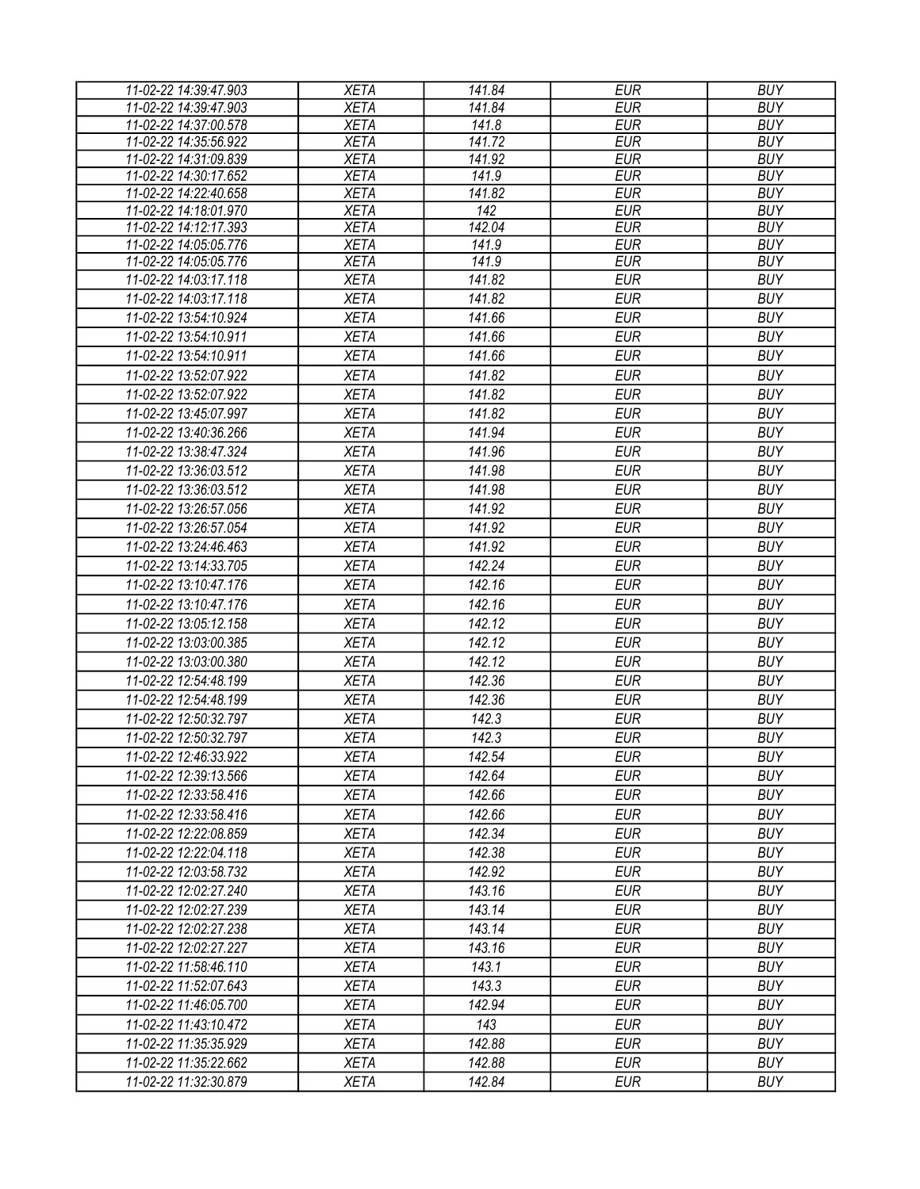| 11-02-22 14:39:47.903 | <b>XETA</b> | 141.84 | <b>EUR</b> | <b>BUY</b> |
|-----------------------|-------------|--------|------------|------------|
| 11-02-22 14:39:47.903 | <b>XETA</b> | 141.84 | <b>EUR</b> | <b>BUY</b> |
| 11-02-22 14:37:00.578 | <b>XETA</b> | 141.8  | <b>EUR</b> | <b>BUY</b> |
| 11-02-22 14:35:56.922 | <b>XETA</b> | 141.72 | <b>EUR</b> | <b>BUY</b> |
| 11-02-22 14:31:09.839 | <b>XETA</b> | 141.92 | <b>EUR</b> | <b>BUY</b> |
| 11-02-22 14:30:17.652 | <b>XETA</b> | 141.9  | <b>EUR</b> | <b>BUY</b> |
| 11-02-22 14:22:40.658 | <b>XETA</b> | 141.82 | <b>EUR</b> | <b>BUY</b> |
| 11-02-22 14:18:01.970 | <b>XETA</b> | 142    | <b>EUR</b> | <b>BUY</b> |
| 11-02-22 14:12:17.393 | <b>XETA</b> | 142.04 | <b>EUR</b> | <b>BUY</b> |
| 11-02-22 14:05:05.776 | <b>XETA</b> | 141.9  | <b>EUR</b> | <b>BUY</b> |
| 11-02-22 14:05:05.776 | <b>XETA</b> | 141.9  | <b>EUR</b> | <b>BUY</b> |
| 11-02-22 14:03:17.118 | <b>XETA</b> | 141.82 | <b>EUR</b> | <b>BUY</b> |
| 11-02-22 14:03:17.118 | <b>XETA</b> | 141.82 | <b>EUR</b> | <b>BUY</b> |
| 11-02-22 13:54:10.924 | <b>XETA</b> | 141.66 | <b>EUR</b> | <b>BUY</b> |
| 11-02-22 13:54:10.911 | <b>XETA</b> | 141.66 | <b>EUR</b> | <b>BUY</b> |
| 11-02-22 13:54:10.911 | <b>XETA</b> | 141.66 | <b>EUR</b> | <b>BUY</b> |
| 11-02-22 13:52:07.922 | <b>XETA</b> | 141.82 | <b>EUR</b> | <b>BUY</b> |
| 11-02-22 13:52:07.922 | <b>XETA</b> | 141.82 | <b>EUR</b> | <b>BUY</b> |
| 11-02-22 13:45:07.997 | <b>XETA</b> | 141.82 | <b>EUR</b> | <b>BUY</b> |
| 11-02-22 13:40:36.266 | <b>XETA</b> | 141.94 | <b>EUR</b> | <b>BUY</b> |
| 11-02-22 13:38:47.324 | <b>XETA</b> | 141.96 | <b>EUR</b> | <b>BUY</b> |
| 11-02-22 13:36:03.512 | <b>XETA</b> | 141.98 | <b>EUR</b> | <b>BUY</b> |
| 11-02-22 13:36:03.512 | <b>XETA</b> | 141.98 | <b>EUR</b> | <b>BUY</b> |
| 11-02-22 13:26:57.056 | <b>XETA</b> | 141.92 | <b>EUR</b> | <b>BUY</b> |
| 11-02-22 13:26:57.054 |             | 141.92 | <b>EUR</b> | <b>BUY</b> |
|                       | <b>XETA</b> |        |            |            |
| 11-02-22 13:24:46.463 | <b>XETA</b> | 141.92 | <b>EUR</b> | <b>BUY</b> |
| 11-02-22 13:14:33.705 | <b>XETA</b> | 142.24 | <b>EUR</b> | <b>BUY</b> |
| 11-02-22 13:10:47.176 | <b>XETA</b> | 142.16 | <b>EUR</b> | <b>BUY</b> |
| 11-02-22 13:10:47.176 | <b>XETA</b> | 142.16 | <b>EUR</b> | <b>BUY</b> |
| 11-02-22 13:05:12.158 | <b>XETA</b> | 142.12 | <b>EUR</b> | <b>BUY</b> |
| 11-02-22 13:03:00.385 | <b>XETA</b> | 142.12 | <b>EUR</b> | <b>BUY</b> |
| 11-02-22 13:03:00.380 | <b>XETA</b> | 142.12 | <b>EUR</b> | <b>BUY</b> |
| 11-02-22 12:54:48.199 | <b>XETA</b> | 142.36 | <b>EUR</b> | <b>BUY</b> |
| 11-02-22 12:54:48.199 | <b>XETA</b> | 142.36 | <b>EUR</b> | <b>BUY</b> |
| 11-02-22 12:50:32.797 | <b>XETA</b> | 142.3  | <b>EUR</b> | <b>BUY</b> |
| 11-02-22 12:50:32.797 | <b>XETA</b> | 142.3  | <b>EUR</b> | <b>BUY</b> |
| 11-02-22 12:46:33.922 | <b>XETA</b> | 142.54 | <b>EUR</b> | <b>BUY</b> |
| 11-02-22 12:39:13.566 | <b>XETA</b> | 142.64 | EUR        | <b>BUY</b> |
| 11-02-22 12:33:58.416 | <b>XETA</b> | 142.66 | <b>EUR</b> | <b>BUY</b> |
| 11-02-22 12:33:58.416 | <b>XETA</b> | 142.66 | <b>EUR</b> | <b>BUY</b> |
| 11-02-22 12:22:08.859 | <b>XETA</b> | 142.34 | <b>EUR</b> | <b>BUY</b> |
|                       |             | 142.38 |            |            |
| 11-02-22 12:22:04.118 | <b>XETA</b> |        | <b>EUR</b> | <b>BUY</b> |
| 11-02-22 12:03:58.732 | <b>XETA</b> | 142.92 | <b>EUR</b> | <b>BUY</b> |
| 11-02-22 12:02:27.240 | <b>XETA</b> | 143.16 | <b>EUR</b> | <b>BUY</b> |
| 11-02-22 12:02:27.239 | <b>XETA</b> | 143.14 | <b>EUR</b> | <b>BUY</b> |
| 11-02-22 12:02:27.238 | <b>XETA</b> | 143.14 | <b>EUR</b> | <b>BUY</b> |
| 11-02-22 12:02:27.227 | <b>XETA</b> | 143.16 | EUR        | <b>BUY</b> |
| 11-02-22 11:58:46.110 | <b>XETA</b> | 143.1  | <b>EUR</b> | <b>BUY</b> |
| 11-02-22 11:52:07.643 | <b>XETA</b> | 143.3  | <b>EUR</b> | <b>BUY</b> |
| 11-02-22 11:46:05.700 | <b>XETA</b> | 142.94 | <b>EUR</b> | <b>BUY</b> |
| 11-02-22 11:43:10.472 | <b>XETA</b> | 143    | <b>EUR</b> | <b>BUY</b> |
| 11-02-22 11:35:35.929 | <b>XETA</b> | 142.88 | <b>EUR</b> | <b>BUY</b> |
| 11-02-22 11:35:22.662 | <b>XETA</b> | 142.88 | <b>EUR</b> | <b>BUY</b> |
| 11-02-22 11:32:30.879 | <b>XETA</b> | 142.84 | <b>EUR</b> | <b>BUY</b> |
|                       |             |        |            |            |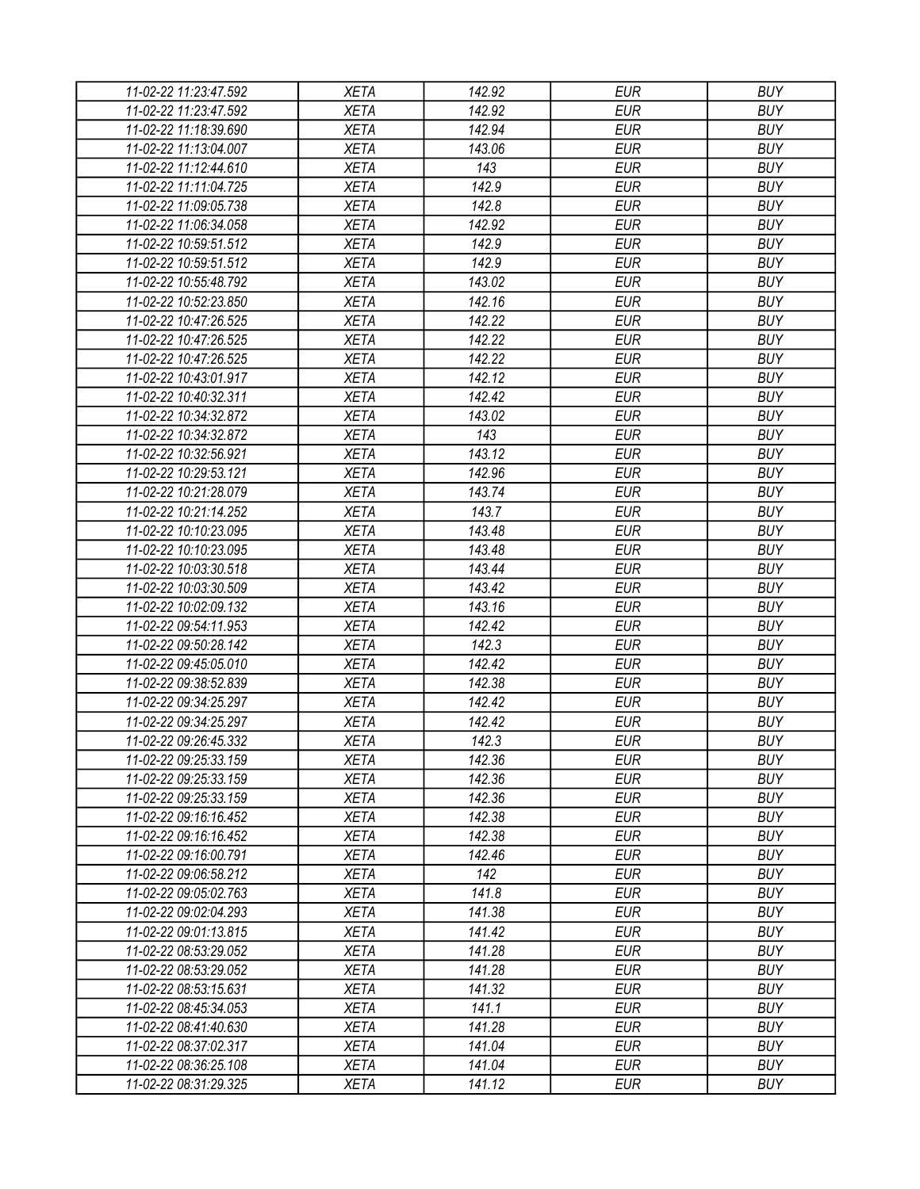| 11-02-22 11:23:47.592 | <b>XETA</b> | 142.92 | <b>EUR</b> | <b>BUY</b> |
|-----------------------|-------------|--------|------------|------------|
| 11-02-22 11:23:47.592 | <b>XETA</b> | 142.92 | <b>EUR</b> | <b>BUY</b> |
| 11-02-22 11:18:39.690 | <b>XETA</b> | 142.94 | <b>EUR</b> | <b>BUY</b> |
| 11-02-22 11:13:04.007 | <b>XETA</b> | 143.06 | <b>EUR</b> | <b>BUY</b> |
| 11-02-22 11:12:44.610 | <b>XETA</b> | 143    | <b>EUR</b> | <b>BUY</b> |
| 11-02-22 11:11:04.725 | <b>XETA</b> | 142.9  | <b>EUR</b> | <b>BUY</b> |
| 11-02-22 11:09:05.738 | <b>XETA</b> | 142.8  | <b>EUR</b> | <b>BUY</b> |
| 11-02-22 11:06:34.058 | <b>XETA</b> | 142.92 | <b>EUR</b> | <b>BUY</b> |
| 11-02-22 10:59:51.512 | <b>XETA</b> | 142.9  | <b>EUR</b> | <b>BUY</b> |
| 11-02-22 10:59:51.512 | <b>XETA</b> | 142.9  | <b>EUR</b> | <b>BUY</b> |
| 11-02-22 10:55:48.792 | <b>XETA</b> | 143.02 | <b>EUR</b> | <b>BUY</b> |
| 11-02-22 10:52:23.850 | <b>XETA</b> | 142.16 | <b>EUR</b> | <b>BUY</b> |
| 11-02-22 10:47:26.525 | <b>XETA</b> | 142.22 | <b>EUR</b> | <b>BUY</b> |
| 11-02-22 10:47:26.525 | <b>XETA</b> | 142.22 | <b>EUR</b> | <b>BUY</b> |
| 11-02-22 10:47:26.525 | <b>XETA</b> | 142.22 | <b>EUR</b> | <b>BUY</b> |
| 11-02-22 10:43:01.917 | <b>XETA</b> | 142.12 | <b>EUR</b> | <b>BUY</b> |
| 11-02-22 10:40:32.311 | <b>XETA</b> | 142.42 | <b>EUR</b> | <b>BUY</b> |
| 11-02-22 10:34:32.872 | <b>XETA</b> | 143.02 | <b>EUR</b> | <b>BUY</b> |
| 11-02-22 10:34:32.872 | <b>XETA</b> | 143    | <b>EUR</b> | <b>BUY</b> |
| 11-02-22 10:32:56.921 | <b>XETA</b> | 143.12 | <b>EUR</b> | <b>BUY</b> |
| 11-02-22 10:29:53.121 | <b>XETA</b> | 142.96 | <b>EUR</b> | <b>BUY</b> |
| 11-02-22 10:21:28.079 | <b>XETA</b> | 143.74 | <b>EUR</b> | <b>BUY</b> |
| 11-02-22 10:21:14.252 | <b>XETA</b> | 143.7  | <b>EUR</b> | <b>BUY</b> |
| 11-02-22 10:10:23.095 | <b>XETA</b> | 143.48 | <b>EUR</b> | <b>BUY</b> |
| 11-02-22 10:10:23.095 | <b>XETA</b> | 143.48 | <b>EUR</b> | <b>BUY</b> |
| 11-02-22 10:03:30.518 | <b>XETA</b> | 143.44 | <b>EUR</b> | <b>BUY</b> |
| 11-02-22 10:03:30.509 | <b>XETA</b> | 143.42 | <b>EUR</b> | <b>BUY</b> |
| 11-02-22 10:02:09.132 | <b>XETA</b> | 143.16 | <b>EUR</b> | <b>BUY</b> |
| 11-02-22 09:54:11.953 | <b>XETA</b> | 142.42 | <b>EUR</b> | <b>BUY</b> |
| 11-02-22 09:50:28.142 | <b>XETA</b> | 142.3  | <b>EUR</b> | <b>BUY</b> |
| 11-02-22 09:45:05.010 | <b>XETA</b> | 142.42 | <b>EUR</b> | <b>BUY</b> |
| 11-02-22 09:38:52.839 | <b>XETA</b> | 142.38 | <b>EUR</b> | <b>BUY</b> |
| 11-02-22 09:34:25.297 | <b>XETA</b> | 142.42 | <b>EUR</b> | <b>BUY</b> |
| 11-02-22 09:34:25.297 | <b>XETA</b> | 142.42 | <b>EUR</b> | <b>BUY</b> |
| 11-02-22 09:26:45.332 | <b>XETA</b> | 142.3  | <b>EUR</b> | <b>BUY</b> |
| 11-02-22 09:25:33.159 | <b>XETA</b> | 142.36 | <b>EUR</b> | <b>BUY</b> |
| 11-02-22 09:25:33.159 | <b>XETA</b> | 142.36 | <b>EUR</b> | <b>BUY</b> |
| 11-02-22 09:25:33.159 | <b>XETA</b> | 142.36 | <b>EUR</b> | <b>BUY</b> |
| 11-02-22 09:16:16.452 | <b>XETA</b> | 142.38 | <b>EUR</b> | <b>BUY</b> |
| 11-02-22 09:16:16.452 | <b>XETA</b> | 142.38 | <b>EUR</b> | <b>BUY</b> |
| 11-02-22 09:16:00.791 | XETA        | 142.46 | <b>EUR</b> | <b>BUY</b> |
| 11-02-22 09:06:58.212 | <b>XETA</b> | 142    | <b>EUR</b> | <b>BUY</b> |
| 11-02-22 09:05:02.763 | <b>XETA</b> | 141.8  | <b>EUR</b> | <b>BUY</b> |
| 11-02-22 09:02:04.293 | <b>XETA</b> | 141.38 | <b>EUR</b> | <b>BUY</b> |
| 11-02-22 09:01:13.815 | <b>XETA</b> | 141.42 | <b>EUR</b> | <b>BUY</b> |
| 11-02-22 08:53:29.052 | <b>XETA</b> | 141.28 | <b>EUR</b> | <b>BUY</b> |
| 11-02-22 08:53:29.052 | <b>XETA</b> | 141.28 | <b>EUR</b> | <b>BUY</b> |
| 11-02-22 08:53:15.631 | <b>XETA</b> | 141.32 | <b>EUR</b> | <b>BUY</b> |
| 11-02-22 08:45:34.053 | <b>XETA</b> | 141.1  | <b>EUR</b> | <b>BUY</b> |
| 11-02-22 08:41:40.630 | <b>XETA</b> | 141.28 | <b>EUR</b> | <b>BUY</b> |
| 11-02-22 08:37:02.317 | <b>XETA</b> | 141.04 | <b>EUR</b> | <b>BUY</b> |
| 11-02-22 08:36:25.108 | <b>XETA</b> | 141.04 | <b>EUR</b> | <b>BUY</b> |
| 11-02-22 08:31:29.325 | XETA        | 141.12 | <b>EUR</b> | <b>BUY</b> |
|                       |             |        |            |            |